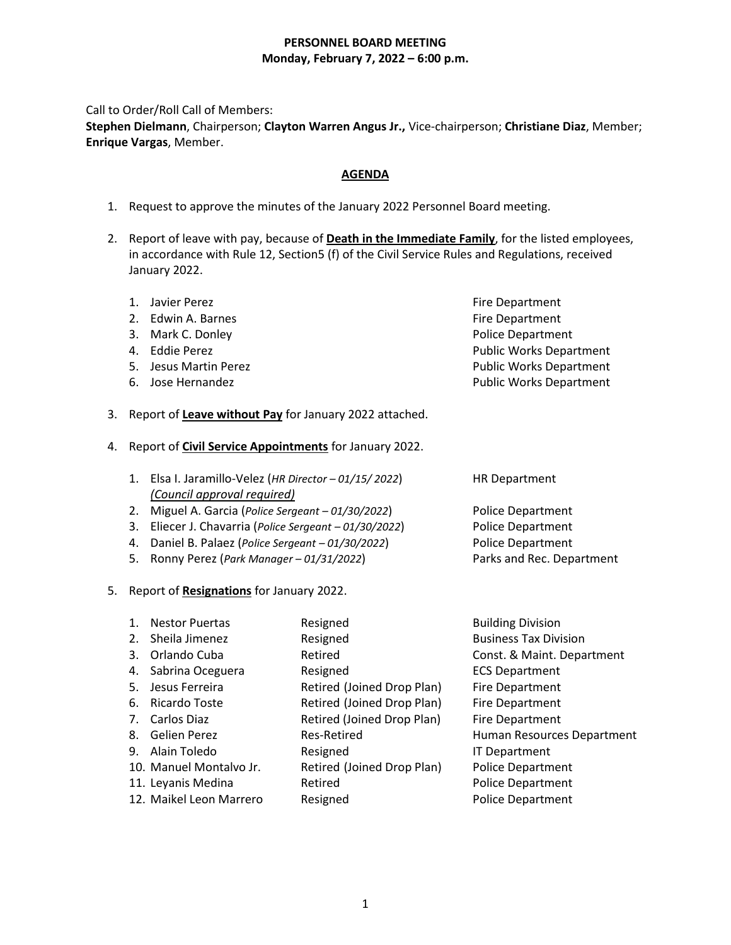## **PERSONNEL BOARD MEETING Monday, February 7, 2022 – 6:00 p.m.**

Call to Order/Roll Call of Members:

**Stephen Dielmann**, Chairperson; **Clayton Warren Angus Jr.,** Vice-chairperson; **Christiane Diaz**, Member; **Enrique Vargas**, Member.

# **AGENDA**

- 1. Request to approve the minutes of the January 2022 Personnel Board meeting.
- 2. Report of leave with pay, because of **Death in the Immediate Family**, for the listed employees, in accordance with Rule 12, Section5 (f) of the Civil Service Rules and Regulations, received January 2022.

| 1. Javier Perez       | Fire Department                |
|-----------------------|--------------------------------|
| 2. Edwin A. Barnes    | Fire Department                |
| 3. Mark C. Donley     | <b>Police Department</b>       |
| 4. Eddie Perez        | <b>Public Works Department</b> |
| 5. Jesus Martin Perez | <b>Public Works Department</b> |
| 6. Jose Hernandez     | <b>Public Works Department</b> |

- 3. Report of **Leave without Pay** for January 2022 attached.
- 4. Report of **Civil Service Appointments** for January 2022.
	- 1. Elsa I. Jaramillo-Velez (*HR Director – 01/15/ 2022*) HR Department *(Council approval required)*
	- 2. Miguel A. Garcia (*Police Sergeant – 01/30/2022*) Police Department
	- 3. Eliecer J. Chavarria (*Police Sergeant – 01/30/2022*) Police Department
	- 4. Daniel B. Palaez (*Police Sergeant – 01/30/2022*) Police Department
	- 5. Ronny Perez (*Park Manager – 01/31/2022*) Parks and Rec. Department
- 5. Report of **Resignations** for January 2022.
	- 1. Nestor Puertas **Resigned** Resigned Building Division 2. Sheila Jimenez **Resigned** Business Tax Division 3. Orlando Cuba **Retired** Const. & Maint. Department 4. Sabrina Oceguera Resigned ECS Department 5. Jesus Ferreira Retired (Joined Drop Plan) Fire Department 6. Ricardo Toste Retired (Joined Drop Plan) Fire Department 7. Carlos Diaz **Retired (Joined Drop Plan)** Fire Department 8. Gelien Perez **Res-Retired** Human Resources Department 9. Alain Toledo Resigned IT Department 10. Manuel Montalvo Jr. Retired (Joined Drop Plan) Police Department
		-
	- 11. Leyanis Medina **Retired Police Department**
	- 12. Maikel Leon Marrero Resigned **Resigned** Police Department

- 
- 
- 
- 
-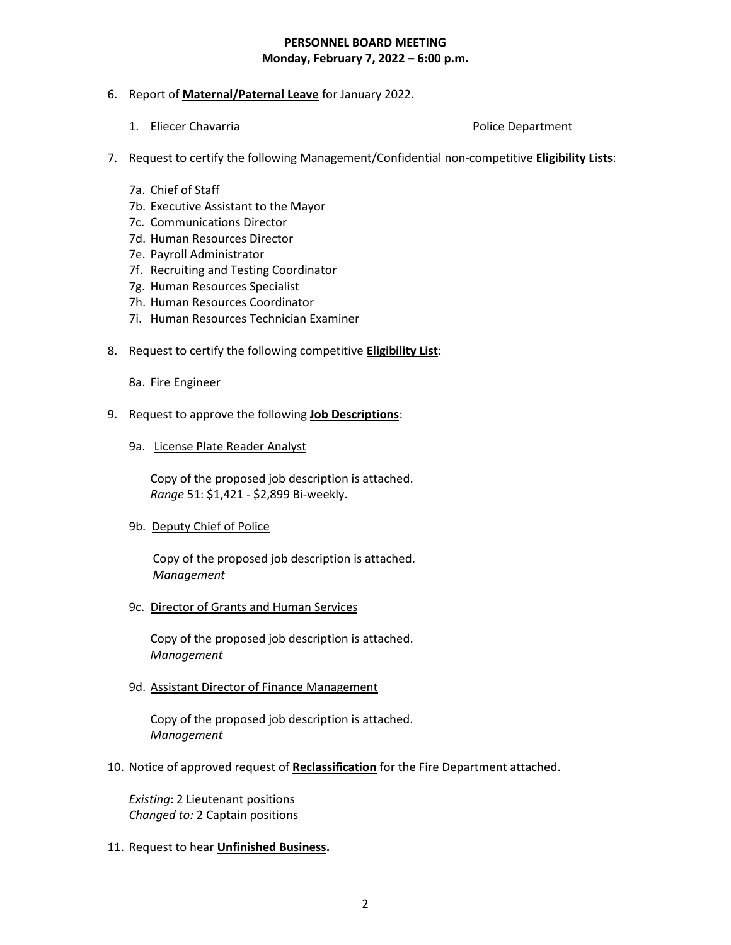## **PERSONNEL BOARD MEETING Monday, February 7, 2022 – 6:00 p.m.**

- 6. Report of **Maternal/Paternal Leave** for January 2022.
	- 1. Eliecer Chavarria **Police Department**

- 7. Request to certify the following Management/Confidential non-competitive **Eligibility Lists**:
	- 7a. Chief of Staff
	- 7b. Executive Assistant to the Mayor
	- 7c. Communications Director
	- 7d. Human Resources Director
	- 7e. Payroll Administrator
	- 7f. Recruiting and Testing Coordinator
	- 7g. Human Resources Specialist
	- 7h. Human Resources Coordinator
	- 7i. Human Resources Technician Examiner
- 8. Request to certify the following competitive **Eligibility List**:
	- 8a. Fire Engineer
- 9. Request to approve the following **Job Descriptions**:
	- 9a. License Plate Reader Analyst

 Copy of the proposed job description is attached. *Range* 51: \$1,421 - \$2,899 Bi-weekly.

9b. Deputy Chief of Police

 Copy of the proposed job description is attached.  *Management*

9c. Director of Grants and Human Services

Copy of the proposed job description is attached. *Management*

9d. Assistant Director of Finance Management

Copy of the proposed job description is attached. *Management*

10. Notice of approved request of **Reclassification** for the Fire Department attached.

*Existing*: 2 Lieutenant positions *Changed to:* 2 Captain positions

11. Request to hear **Unfinished Business.**